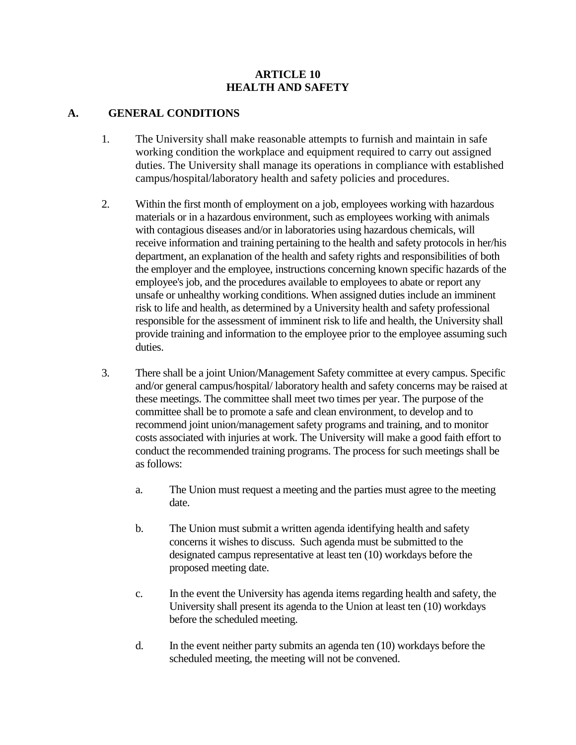#### **ARTICLE 10 HEALTH AND SAFETY**

#### **A. GENERAL CONDITIONS**

- 1. The University shall make reasonable attempts to furnish and maintain in safe working condition the workplace and equipment required to carry out assigned duties. The University shall manage its operations in compliance with established campus/hospital/laboratory health and safety policies and procedures.
- 2. Within the first month of employment on a job, employees working with hazardous materials or in a hazardous environment, such as employees working with animals with contagious diseases and/or in laboratories using hazardous chemicals, will receive information and training pertaining to the health and safety protocols in her/his department, an explanation of the health and safety rights and responsibilities of both the employer and the employee, instructions concerning known specific hazards of the employee's job, and the procedures available to employees to abate or report any unsafe or unhealthy working conditions. When assigned duties include an imminent risk to life and health, as determined by a University health and safety professional responsible for the assessment of imminent risk to life and health, the University shall provide training and information to the employee prior to the employee assuming such duties.
- 3. There shall be a joint Union/Management Safety committee at every campus. Specific and/or general campus/hospital/ laboratory health and safety concerns may be raised at these meetings. The committee shall meet two times per year. The purpose of the committee shall be to promote a safe and clean environment, to develop and to recommend joint union/management safety programs and training, and to monitor costs associated with injuries at work. The University will make a good faith effort to conduct the recommended training programs. The process for such meetings shall be as follows:
	- a. The Union must request a meeting and the parties must agree to the meeting date.
	- b. The Union must submit a written agenda identifying health and safety concerns it wishes to discuss. Such agenda must be submitted to the designated campus representative at least ten (10) workdays before the proposed meeting date.
	- c. In the event the University has agenda items regarding health and safety, the University shall present its agenda to the Union at least ten (10) workdays before the scheduled meeting.
	- d. In the event neither party submits an agenda ten (10) workdays before the scheduled meeting, the meeting will not be convened.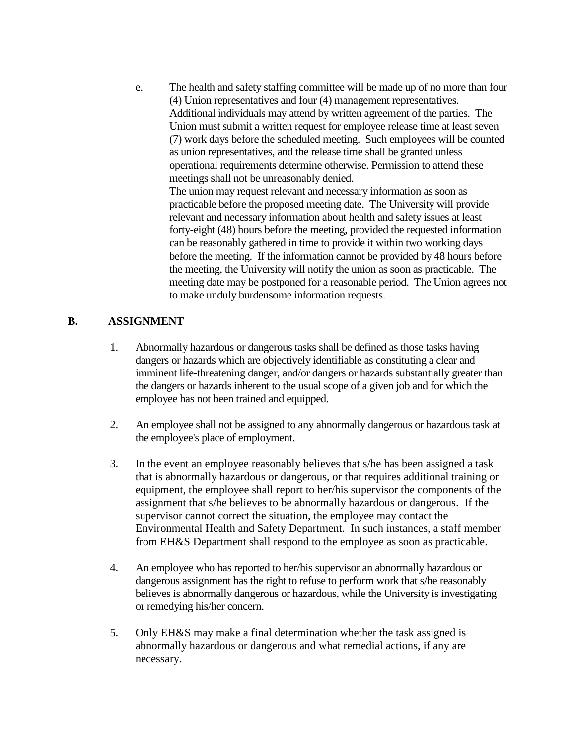e. The health and safety staffing committee will be made up of no more than four (4) Union representatives and four (4) management representatives. Additional individuals may attend by written agreement of the parties. The Union must submit a written request for employee release time at least seven (7) work days before the scheduled meeting. Such employees will be counted as union representatives, and the release time shall be granted unless operational requirements determine otherwise. Permission to attend these meetings shall not be unreasonably denied. The union may request relevant and necessary information as soon as

practicable before the proposed meeting date. The University will provide relevant and necessary information about health and safety issues at least forty-eight (48) hours before the meeting, provided the requested information can be reasonably gathered in time to provide it within two working days before the meeting. If the information cannot be provided by 48 hours before the meeting, the University will notify the union as soon as practicable. The meeting date may be postponed for a reasonable period. The Union agrees not to make unduly burdensome information requests.

### **B. ASSIGNMENT**

- 1. Abnormally hazardous or dangerous tasks shall be defined as those tasks having dangers or hazards which are objectively identifiable as constituting a clear and imminent life-threatening danger, and/or dangers or hazards substantially greater than the dangers or hazards inherent to the usual scope of a given job and for which the employee has not been trained and equipped.
- 2. An employee shall not be assigned to any abnormally dangerous or hazardous task at the employee's place of employment.
- 3. In the event an employee reasonably believes that s/he has been assigned a task that is abnormally hazardous or dangerous, or that requires additional training or equipment, the employee shall report to her/his supervisor the components of the assignment that s/he believes to be abnormally hazardous or dangerous. If the supervisor cannot correct the situation, the employee may contact the Environmental Health and Safety Department. In such instances, a staff member from EH&S Department shall respond to the employee as soon as practicable.
- 4. An employee who has reported to her/his supervisor an abnormally hazardous or dangerous assignment has the right to refuse to perform work that s/he reasonably believes is abnormally dangerous or hazardous, while the University is investigating or remedying his/her concern.
- 5. Only EH&S may make a final determination whether the task assigned is abnormally hazardous or dangerous and what remedial actions, if any are necessary.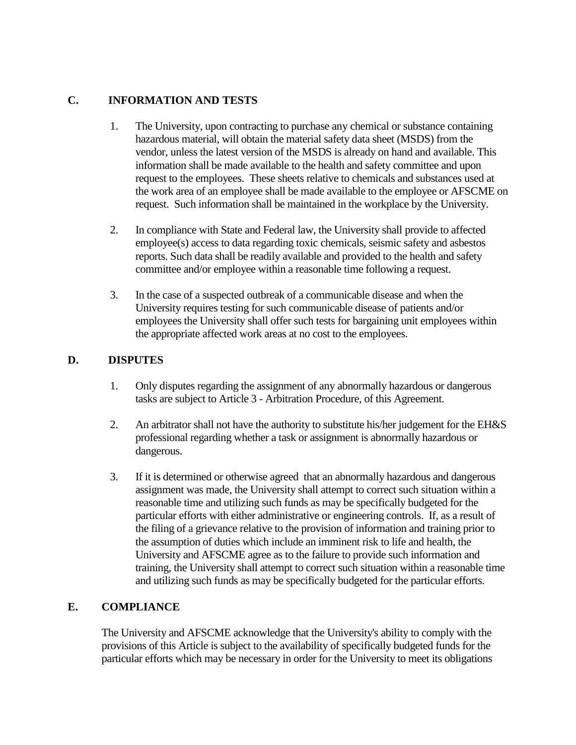## **C. INFORMATION AND TESTS**

- 1. The University, upon contracting to purchase any chemical or substance containing hazardous material, will obtain the material safety data sheet (MSDS) from the vendor, unless the latest version of the MSDS is already on hand and available. This information shall be made available to the health and safety committee and upon request to the employees. These sheets relative to chemicals and substances used at the work area of an employee shall be made available to the employee or AFSCME on request. Such information shall be maintained in the workplace by the University.
- 2. In compliance with State and Federal law, the University shall provide to affected employee(s) access to data regarding toxic chemicals, seismic safety and asbestos reports. Such data shall be readily available and provided to the health and safety committee and/or employee within a reasonable time following a request.
- 3. In the case of a suspected outbreak of a communicable disease and when the University requires testing for such communicable disease of patients and/or employees the University shall offer such tests for bargaining unit employees within the appropriate affected work areas at no cost to the employees.

## **D. DISPUTES**

- 1. Only disputes regarding the assignment of any abnormally hazardous or dangerous tasks are subject to Article 3 - Arbitration Procedure, of this Agreement.
- 2. An arbitrator shall not have the authority to substitute his/her judgement for the EH&S professional regarding whether a task or assignment is abnormally hazardous or dangerous.
- 3. If it is determined or otherwise agreed that an abnormally hazardous and dangerous assignment was made, the University shall attempt to correct such situation within a reasonable time and utilizing such funds as may be specifically budgeted for the particular efforts with either administrative or engineering controls. If, as a result of the filing of a grievance relative to the provision of information and training prior to the assumption of duties which include an imminent risk to life and health, the University and AFSCME agree as to the failure to provide such information and training, the University shall attempt to correct such situation within a reasonable time and utilizing such funds as may be specifically budgeted for the particular efforts.

### **E. COMPLIANCE**

The University and AFSCME acknowledge that the University's ability to comply with the provisions of this Article is subject to the availability of specifically budgeted funds for the particular efforts which may be necessary in order for the University to meet its obligations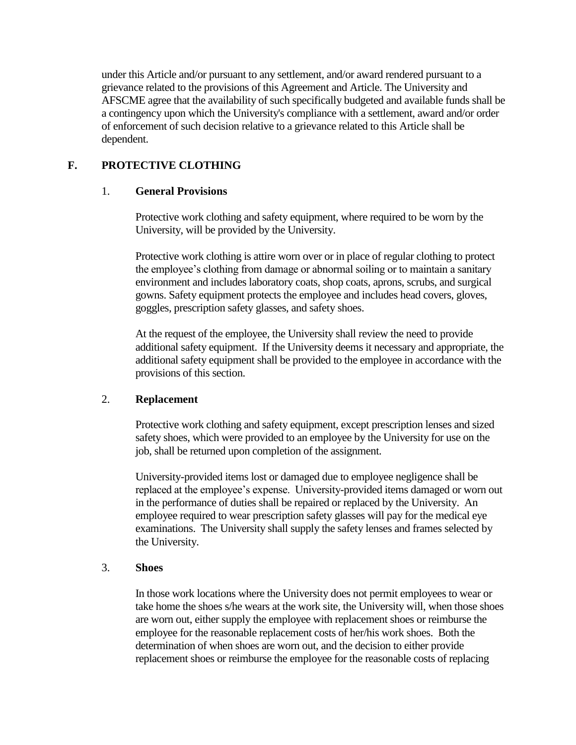under this Article and/or pursuant to any settlement, and/or award rendered pursuant to a grievance related to the provisions of this Agreement and Article. The University and AFSCME agree that the availability of such specifically budgeted and available funds shall be a contingency upon which the University's compliance with a settlement, award and/or order of enforcement of such decision relative to a grievance related to this Article shall be dependent.

# **F. PROTECTIVE CLOTHING**

## 1. **General Provisions**

Protective work clothing and safety equipment, where required to be worn by the University, will be provided by the University.

Protective work clothing is attire worn over or in place of regular clothing to protect the employee's clothing from damage or abnormal soiling or to maintain a sanitary environment and includes laboratory coats, shop coats, aprons, scrubs, and surgical gowns. Safety equipment protects the employee and includes head covers, gloves, goggles, prescription safety glasses, and safety shoes.

At the request of the employee, the University shall review the need to provide additional safety equipment. If the University deems it necessary and appropriate, the additional safety equipment shall be provided to the employee in accordance with the provisions of this section.

### 2. **Replacement**

Protective work clothing and safety equipment, except prescription lenses and sized safety shoes, which were provided to an employee by the University for use on the job, shall be returned upon completion of the assignment.

University-provided items lost or damaged due to employee negligence shall be replaced at the employee's expense. University-provided items damaged or worn out in the performance of duties shall be repaired or replaced by the University. An employee required to wear prescription safety glasses will pay for the medical eye examinations. The University shall supply the safety lenses and frames selected by the University.

### 3. **Shoes**

In those work locations where the University does not permit employees to wear or take home the shoes s/he wears at the work site, the University will, when those shoes are worn out, either supply the employee with replacement shoes or reimburse the employee for the reasonable replacement costs of her/his work shoes. Both the determination of when shoes are worn out, and the decision to either provide replacement shoes or reimburse the employee for the reasonable costs of replacing